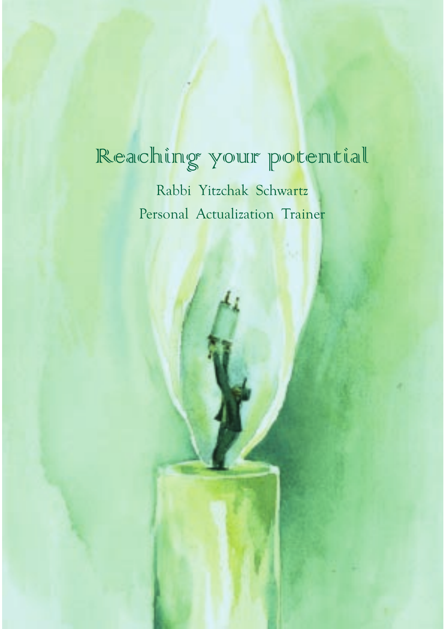# Reaching your potential

Rabbi Yitzchak Schwartz Personal Actualization Trainer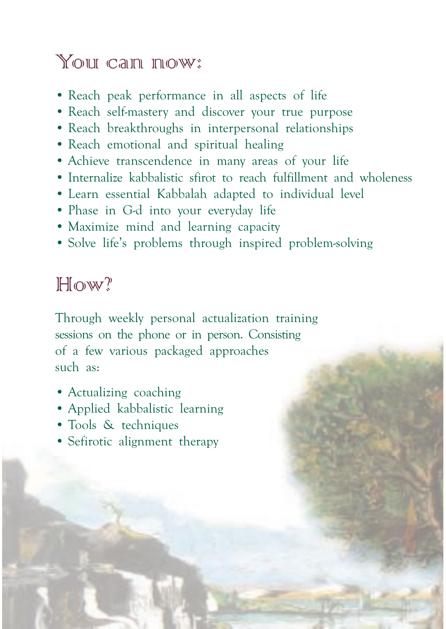## You can now:

- Reach peak performance in all aspects of life
- Reach self-mastery and discover your true purpose
- Reach breakthroughs in interpersonal relationships
- Reach emotional and spiritual healing
- Achieve transcendence in many areas of your life
- Internalize kabbalistic sfirot to reach fulfillment and wholeness
- Learn essential Kabbalah adapted to individual level
- Phase in G-d into your everyday life
- Maximize mind and learning capacity
- Solve life's problems through inspired problem-solving

## $H<sub>0</sub>$ w?

Through weekly personal actualization training sessions on the phone or in person. Consisting of a few various packaged approaches such as:

- Actualizing coaching
- Applied kabbalistic learning
- Tools & techniques
- Sefirotic alignment therapy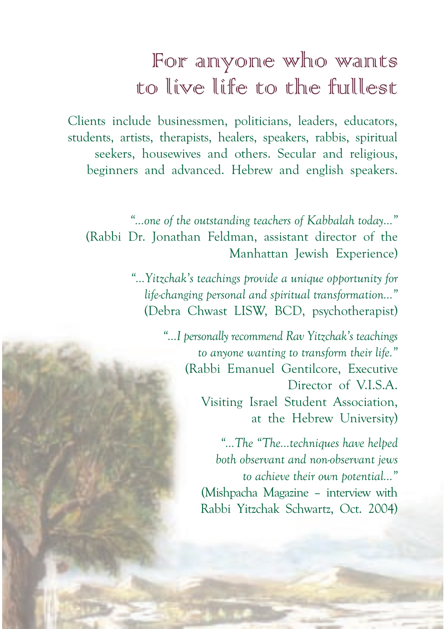# For anyone who wants to live life to the fullest

Clients include businessmen, politicians, leaders, educators, students, artists, therapists, healers, speakers, rabbis, spiritual seekers, housewives and others. Secular and religious, beginners and advanced. Hebrew and english speakers.

*"…one of the outstanding teachers of Kabbalah today…"* (Rabbi Dr. Jonathan Feldman, assistant director of the Manhattan Jewish Experience)

> *"…Yitzchak's teachings provide a unique opportunity for life-changing personal and spiritual transformation…"* (Debra Chwast LISW, BCD, psychotherapist)

> > *"…I personally recommend Rav Yitzchak's teachings to anyone wanting to transform their life."* (Rabbi Emanuel Gentilcore, Executive Director of V.I.S.A. Visiting Israel Student Association, at the Hebrew University)

> > > *"...The "The...techniques have helped both observant and non-observant jews to achieve their own potential…"* (Mishpacha Magazine – interview with Rabbi Yitzchak Schwartz, Oct. 2004)